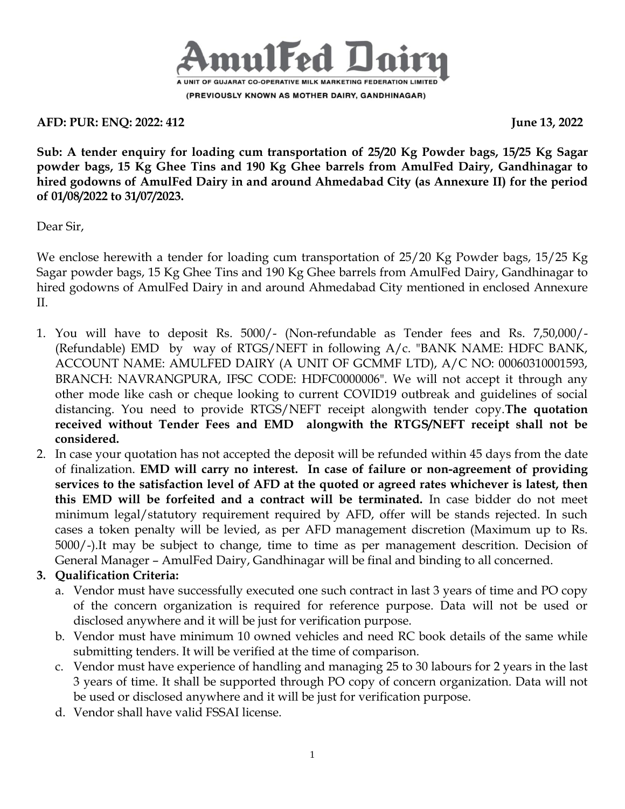

**AFD: PUR: ENQ: 2022: 412 June 13, 2022**

**Sub: A tender enquiry for loading cum transportation of 25/20 Kg Powder bags, 15/25 Kg Sagar powder bags, 15 Kg Ghee Tins and 190 Kg Ghee barrels from AmulFed Dairy, Gandhinagar to hired godowns of AmulFed Dairy in and around Ahmedabad City (as Annexure II) for the period of 01/08/2022 to 31/07/2023.**

Dear Sir,

We enclose herewith a tender for loading cum transportation of 25/20 Kg Powder bags, 15/25 Kg Sagar powder bags, 15 Kg Ghee Tins and 190 Kg Ghee barrels from AmulFed Dairy, Gandhinagar to hired godowns of AmulFed Dairy in and around Ahmedabad City mentioned in enclosed Annexure II.

- 1. You will have to deposit Rs. 5000/- (Non-refundable as Tender fees and Rs. 7,50,000/- (Refundable) EMD by way of RTGS/NEFT in following A/c. "BANK NAME: HDFC BANK, ACCOUNT NAME: AMULFED DAIRY (A UNIT OF GCMMF LTD), A/C NO: 00060310001593, BRANCH: NAVRANGPURA, IFSC CODE: HDFC0000006". We will not accept it through any other mode like cash or cheque looking to current COVID19 outbreak and guidelines of social distancing. You need to provide RTGS/NEFT receipt alongwith tender copy.**The quotation received without Tender Fees and EMD alongwith the RTGS/NEFT receipt shall not be considered.**
- 2. In case your quotation has not accepted the deposit will be refunded within 45 days from the date of finalization. **EMD will carry no interest. In case of failure or non-agreement of providing services to the satisfaction level of AFD at the quoted or agreed rates whichever is latest, then this EMD will be forfeited and a contract will be terminated.** In case bidder do not meet minimum legal/statutory requirement required by AFD, offer will be stands rejected. In such cases a token penalty will be levied, as per AFD management discretion (Maximum up to Rs. 5000/-).It may be subject to change, time to time as per management descrition. Decision of General Manager – AmulFed Dairy, Gandhinagar will be final and binding to all concerned.

## **3. Qualification Criteria:**

- a. Vendor must have successfully executed one such contract in last 3 years of time and PO copy of the concern organization is required for reference purpose. Data will not be used or disclosed anywhere and it will be just for verification purpose.
- b. Vendor must have minimum 10 owned vehicles and need RC book details of the same while submitting tenders. It will be verified at the time of comparison.
- c. Vendor must have experience of handling and managing 25 to 30 labours for 2 years in the last 3 years of time. It shall be supported through PO copy of concern organization. Data will not be used or disclosed anywhere and it will be just for verification purpose.
- d. Vendor shall have valid FSSAI license.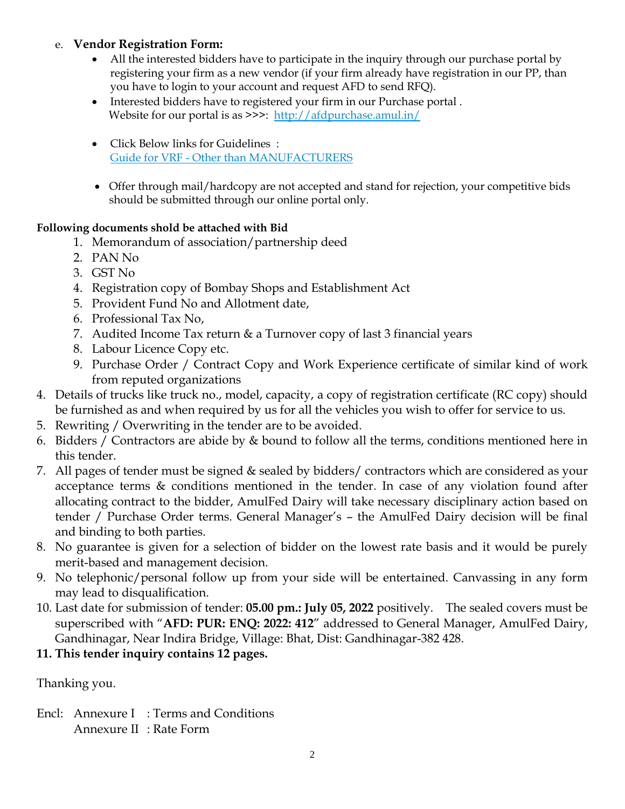### e. **Vendor Registration Form:**

- All the interested bidders have to participate in the inquiry through our purchase portal by registering your firm as a new vendor (if your firm already have registration in our PP, than you have to login to your account and request AFD to send RFQ).
- Interested bidders have to registered your firm in our Purchase portal . Website for our portal is as >>>: <http://afdpurchase.amul.in/>
- Click Below links for Guidelines : Guide for VRF - [Other than MANUFACTURERS](https://in-mum-m110.icewarpcloud.in/collaboration/#ticket=eJxNjMEOgjAQRL.GvaGlUNrLHgiKJ5WgeId2K0QFU8r,W24mM2.SSWaeKIyyvOcyVSYBi4dZrx.a,BKJsl6dHrqFIs7q2fnuDRorWP4mmsBhzJNMZoJJlQEhjJjzPBckUsmE3p,W0WwPdnaBj6YKjIODrn6grfRDN4U4F5e2Ksp72xyb2.5rLBhM4IVMEUuZlJp.VjQxZA__t&url=https%3A//amul.icewarpcloud.in/teamcha)
- Offer through mail/hardcopy are not accepted and stand for rejection, your competitive bids should be submitted through our online portal only.

#### **Following documents shold be attached with Bid**

- 1. Memorandum of association/partnership deed
- 2. PAN No
- 3. GST No
- 4. Registration copy of Bombay Shops and Establishment Act
- 5. Provident Fund No and Allotment date,
- 6. Professional Tax No,
- 7. Audited Income Tax return & a Turnover copy of last 3 financial years
- 8. Labour Licence Copy etc.
- 9. Purchase Order / Contract Copy and Work Experience certificate of similar kind of work from reputed organizations
- 4. Details of trucks like truck no., model, capacity, a copy of registration certificate (RC copy) should be furnished as and when required by us for all the vehicles you wish to offer for service to us.
- 5. Rewriting / Overwriting in the tender are to be avoided.
- 6. Bidders / Contractors are abide by & bound to follow all the terms, conditions mentioned here in this tender.
- 7. All pages of tender must be signed & sealed by bidders/ contractors which are considered as your acceptance terms & conditions mentioned in the tender. In case of any violation found after allocating contract to the bidder, AmulFed Dairy will take necessary disciplinary action based on tender / Purchase Order terms. General Manager's – the AmulFed Dairy decision will be final and binding to both parties.
- 8. No guarantee is given for a selection of bidder on the lowest rate basis and it would be purely merit-based and management decision.
- 9. No telephonic/personal follow up from your side will be entertained. Canvassing in any form may lead to disqualification.
- 10. Last date for submission of tender: **05.00 pm.: July 05, 2022** positively. The sealed covers must be superscribed with "**AFD: PUR: ENQ: 2022: 412**" addressed to General Manager, AmulFed Dairy, Gandhinagar, Near Indira Bridge, Village: Bhat, Dist: Gandhinagar-382 428.
- **11. This tender inquiry contains 12 pages.**

Thanking you.

Encl: Annexure I : Terms and Conditions Annexure II : Rate Form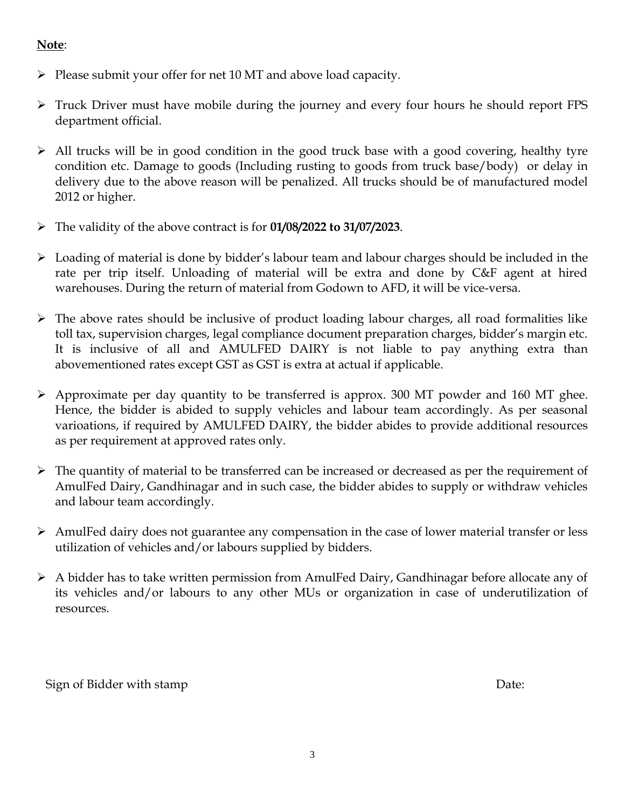## **Note**:

- $\triangleright$  Please submit your offer for net 10 MT and above load capacity.
- Truck Driver must have mobile during the journey and every four hours he should report FPS department official.
- All trucks will be in good condition in the good truck base with a good covering, healthy tyre condition etc. Damage to goods (Including rusting to goods from truck base/body) or delay in delivery due to the above reason will be penalized. All trucks should be of manufactured model 2012 or higher.
- The validity of the above contract is for **01/08/2022 to 31/07/2023**.
- $\triangleright$  Loading of material is done by bidder's labour team and labour charges should be included in the rate per trip itself. Unloading of material will be extra and done by C&F agent at hired warehouses. During the return of material from Godown to AFD, it will be vice-versa.
- $\triangleright$  The above rates should be inclusive of product loading labour charges, all road formalities like toll tax, supervision charges, legal compliance document preparation charges, bidder's margin etc. It is inclusive of all and AMULFED DAIRY is not liable to pay anything extra than abovementioned rates except GST as GST is extra at actual if applicable.
- $\triangleright$  Approximate per day quantity to be transferred is approx. 300 MT powder and 160 MT ghee. Hence, the bidder is abided to supply vehicles and labour team accordingly. As per seasonal varioations, if required by AMULFED DAIRY, the bidder abides to provide additional resources as per requirement at approved rates only.
- $\triangleright$  The quantity of material to be transferred can be increased or decreased as per the requirement of AmulFed Dairy, Gandhinagar and in such case, the bidder abides to supply or withdraw vehicles and labour team accordingly.
- $\triangleright$  AmulFed dairy does not guarantee any compensation in the case of lower material transfer or less utilization of vehicles and/or labours supplied by bidders.
- A bidder has to take written permission from AmulFed Dairy, Gandhinagar before allocate any of its vehicles and/or labours to any other MUs or organization in case of underutilization of resources.

Sign of Bidder with stamp Date: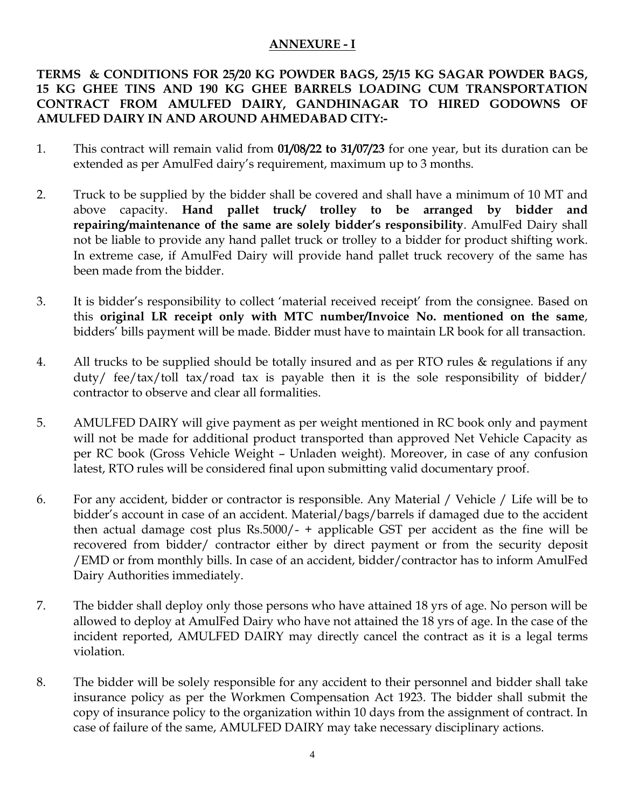#### **ANNEXURE - I**

#### **TERMS & CONDITIONS FOR 25/20 KG POWDER BAGS, 25/15 KG SAGAR POWDER BAGS, 15 KG GHEE TINS AND 190 KG GHEE BARRELS LOADING CUM TRANSPORTATION CONTRACT FROM AMULFED DAIRY, GANDHINAGAR TO HIRED GODOWNS OF AMULFED DAIRY IN AND AROUND AHMEDABAD CITY:-**

- 1. This contract will remain valid from **01/08/22 to 31/07/23** for one year, but its duration can be extended as per AmulFed dairy's requirement, maximum up to 3 months.
- 2. Truck to be supplied by the bidder shall be covered and shall have a minimum of 10 MT and above capacity. **Hand pallet truck/ trolley to be arranged by bidder and repairing/maintenance of the same are solely bidder's responsibility**. AmulFed Dairy shall not be liable to provide any hand pallet truck or trolley to a bidder for product shifting work. In extreme case, if AmulFed Dairy will provide hand pallet truck recovery of the same has been made from the bidder.
- 3. It is bidder's responsibility to collect 'material received receipt' from the consignee. Based on this **original LR receipt only with MTC number/Invoice No. mentioned on the same**, bidders' bills payment will be made. Bidder must have to maintain LR book for all transaction.
- 4. All trucks to be supplied should be totally insured and as per RTO rules & regulations if any duty/ fee/tax/toll tax/road tax is payable then it is the sole responsibility of bidder/ contractor to observe and clear all formalities.
- 5. AMULFED DAIRY will give payment as per weight mentioned in RC book only and payment will not be made for additional product transported than approved Net Vehicle Capacity as per RC book (Gross Vehicle Weight – Unladen weight). Moreover, in case of any confusion latest, RTO rules will be considered final upon submitting valid documentary proof.
- 6. For any accident, bidder or contractor is responsible. Any Material / Vehicle / Life will be to bidder's account in case of an accident. Material/bags/barrels if damaged due to the accident then actual damage cost plus Rs.5000/-  $+$  applicable GST per accident as the fine will be recovered from bidder/ contractor either by direct payment or from the security deposit /EMD or from monthly bills. In case of an accident, bidder/contractor has to inform AmulFed Dairy Authorities immediately.
- 7. The bidder shall deploy only those persons who have attained 18 yrs of age. No person will be allowed to deploy at AmulFed Dairy who have not attained the 18 yrs of age. In the case of the incident reported, AMULFED DAIRY may directly cancel the contract as it is a legal terms violation.
- 8. The bidder will be solely responsible for any accident to their personnel and bidder shall take insurance policy as per the Workmen Compensation Act 1923. The bidder shall submit the copy of insurance policy to the organization within 10 days from the assignment of contract. In case of failure of the same, AMULFED DAIRY may take necessary disciplinary actions.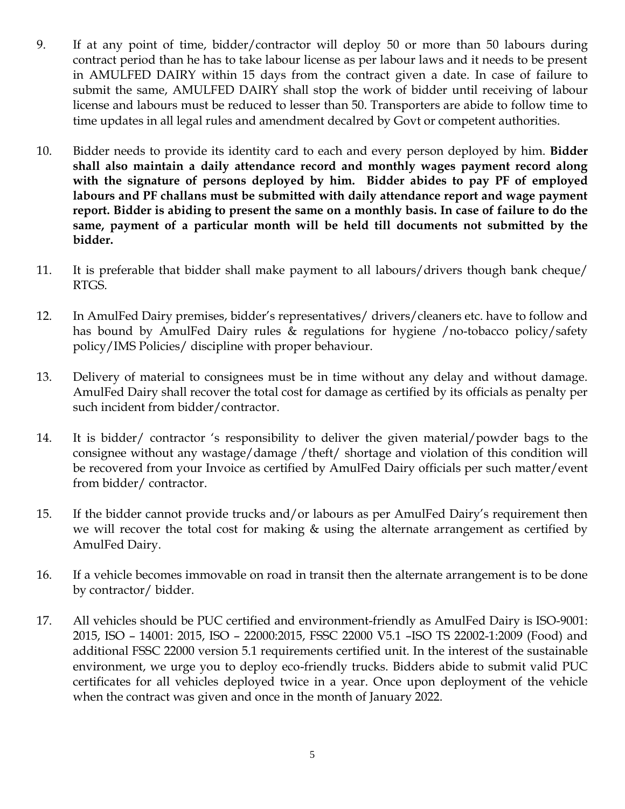- 9. If at any point of time, bidder/contractor will deploy 50 or more than 50 labours during contract period than he has to take labour license as per labour laws and it needs to be present in AMULFED DAIRY within 15 days from the contract given a date. In case of failure to submit the same, AMULFED DAIRY shall stop the work of bidder until receiving of labour license and labours must be reduced to lesser than 50. Transporters are abide to follow time to time updates in all legal rules and amendment decalred by Govt or competent authorities.
- 10. Bidder needs to provide its identity card to each and every person deployed by him. **Bidder shall also maintain a daily attendance record and monthly wages payment record along with the signature of persons deployed by him. Bidder abides to pay PF of employed labours and PF challans must be submitted with daily attendance report and wage payment report. Bidder is abiding to present the same on a monthly basis. In case of failure to do the same, payment of a particular month will be held till documents not submitted by the bidder.**
- 11. It is preferable that bidder shall make payment to all labours/drivers though bank cheque/ RTGS.
- 12. In AmulFed Dairy premises, bidder's representatives/ drivers/cleaners etc. have to follow and has bound by AmulFed Dairy rules & regulations for hygiene /no-tobacco policy/safety policy/IMS Policies/ discipline with proper behaviour.
- 13. Delivery of material to consignees must be in time without any delay and without damage. AmulFed Dairy shall recover the total cost for damage as certified by its officials as penalty per such incident from bidder/contractor.
- 14. It is bidder/ contractor 's responsibility to deliver the given material/powder bags to the consignee without any wastage/damage /theft/ shortage and violation of this condition will be recovered from your Invoice as certified by AmulFed Dairy officials per such matter/event from bidder/ contractor.
- 15. If the bidder cannot provide trucks and/or labours as per AmulFed Dairy's requirement then we will recover the total cost for making & using the alternate arrangement as certified by AmulFed Dairy.
- 16. If a vehicle becomes immovable on road in transit then the alternate arrangement is to be done by contractor/ bidder.
- 17. All vehicles should be PUC certified and environment-friendly as AmulFed Dairy is ISO-9001: 2015, ISO – 14001: 2015, ISO – 22000:2015, FSSC 22000 V5.1 –ISO TS 22002-1:2009 (Food) and additional FSSC 22000 version 5.1 requirements certified unit. In the interest of the sustainable environment, we urge you to deploy eco-friendly trucks. Bidders abide to submit valid PUC certificates for all vehicles deployed twice in a year. Once upon deployment of the vehicle when the contract was given and once in the month of January 2022.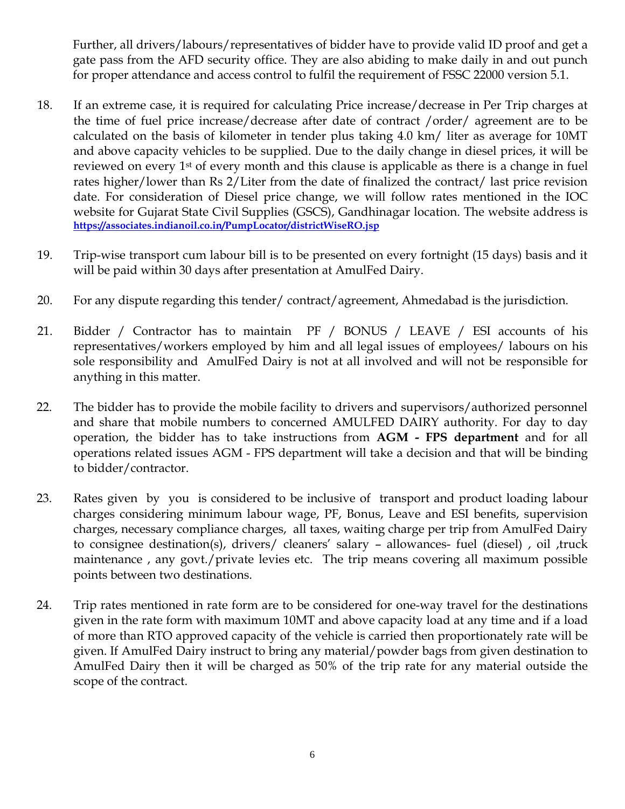Further, all drivers/labours/representatives of bidder have to provide valid ID proof and get a gate pass from the AFD security office. They are also abiding to make daily in and out punch for proper attendance and access control to fulfil the requirement of FSSC 22000 version 5.1.

- 18. If an extreme case, it is required for calculating Price increase/decrease in Per Trip charges at the time of fuel price increase/decrease after date of contract /order/ agreement are to be calculated on the basis of kilometer in tender plus taking 4.0 km/ liter as average for 10MT and above capacity vehicles to be supplied. Due to the daily change in diesel prices, it will be reviewed on every 1st of every month and this clause is applicable as there is a change in fuel rates higher/lower than Rs 2/Liter from the date of finalized the contract/ last price revision date. For consideration of Diesel price change, we will follow rates mentioned in the IOC website for Gujarat State Civil Supplies (GSCS), Gandhinagar location. The website address is **<https://associates.indianoil.co.in/PumpLocator/districtWiseRO.jsp>**
- 19. Trip-wise transport cum labour bill is to be presented on every fortnight (15 days) basis and it will be paid within 30 days after presentation at AmulFed Dairy.
- 20. For any dispute regarding this tender/ contract/agreement, Ahmedabad is the jurisdiction.
- 21. Bidder / Contractor has to maintain PF / BONUS / LEAVE / ESI accounts of his representatives/workers employed by him and all legal issues of employees/ labours on his sole responsibility and AmulFed Dairy is not at all involved and will not be responsible for anything in this matter.
- 22. The bidder has to provide the mobile facility to drivers and supervisors/authorized personnel and share that mobile numbers to concerned AMULFED DAIRY authority. For day to day operation, the bidder has to take instructions from **AGM - FPS department** and for all operations related issues AGM - FPS department will take a decision and that will be binding to bidder/contractor.
- 23. Rates given by you is considered to be inclusive of transport and product loading labour charges considering minimum labour wage, PF, Bonus, Leave and ESI benefits, supervision charges, necessary compliance charges, all taxes, waiting charge per trip from AmulFed Dairy to consignee destination(s), drivers/ cleaners' salary – allowances- fuel (diesel) , oil ,truck maintenance, any govt./private levies etc. The trip means covering all maximum possible points between two destinations.
- 24. Trip rates mentioned in rate form are to be considered for one-way travel for the destinations given in the rate form with maximum 10MT and above capacity load at any time and if a load of more than RTO approved capacity of the vehicle is carried then proportionately rate will be given. If AmulFed Dairy instruct to bring any material/powder bags from given destination to AmulFed Dairy then it will be charged as 50% of the trip rate for any material outside the scope of the contract.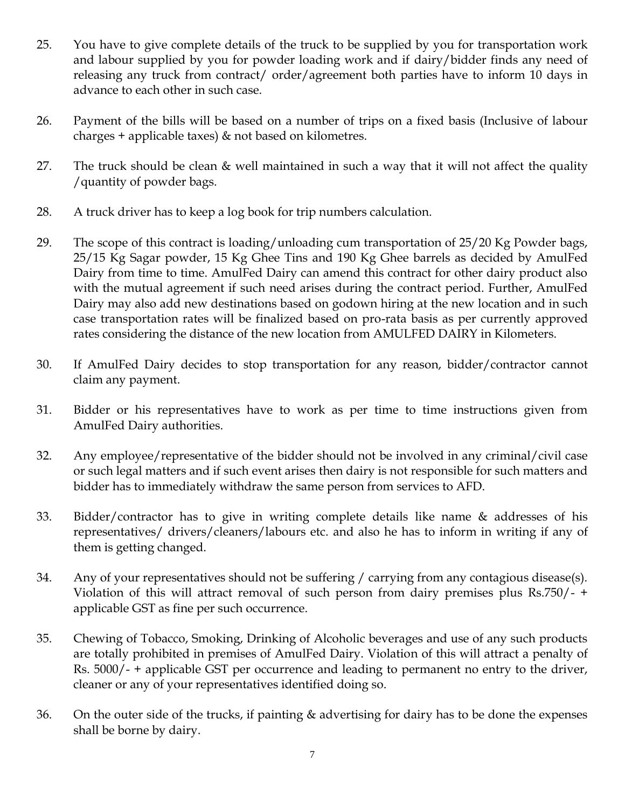- 25. You have to give complete details of the truck to be supplied by you for transportation work and labour supplied by you for powder loading work and if dairy/bidder finds any need of releasing any truck from contract/ order/agreement both parties have to inform 10 days in advance to each other in such case.
- 26. Payment of the bills will be based on a number of trips on a fixed basis (Inclusive of labour charges + applicable taxes) & not based on kilometres.
- 27. The truck should be clean & well maintained in such a way that it will not affect the quality /quantity of powder bags.
- 28. A truck driver has to keep a log book for trip numbers calculation.
- 29. The scope of this contract is loading/unloading cum transportation of 25/20 Kg Powder bags, 25/15 Kg Sagar powder, 15 Kg Ghee Tins and 190 Kg Ghee barrels as decided by AmulFed Dairy from time to time. AmulFed Dairy can amend this contract for other dairy product also with the mutual agreement if such need arises during the contract period. Further, AmulFed Dairy may also add new destinations based on godown hiring at the new location and in such case transportation rates will be finalized based on pro-rata basis as per currently approved rates considering the distance of the new location from AMULFED DAIRY in Kilometers.
- 30. If AmulFed Dairy decides to stop transportation for any reason, bidder/contractor cannot claim any payment.
- 31. Bidder or his representatives have to work as per time to time instructions given from AmulFed Dairy authorities.
- 32. Any employee/representative of the bidder should not be involved in any criminal/civil case or such legal matters and if such event arises then dairy is not responsible for such matters and bidder has to immediately withdraw the same person from services to AFD.
- 33. Bidder/contractor has to give in writing complete details like name & addresses of his representatives/ drivers/cleaners/labours etc. and also he has to inform in writing if any of them is getting changed.
- 34. Any of your representatives should not be suffering / carrying from any contagious disease(s). Violation of this will attract removal of such person from dairy premises plus Rs.750/- + applicable GST as fine per such occurrence.
- 35. Chewing of Tobacco, Smoking, Drinking of Alcoholic beverages and use of any such products are totally prohibited in premises of AmulFed Dairy. Violation of this will attract a penalty of Rs. 5000/- + applicable GST per occurrence and leading to permanent no entry to the driver, cleaner or any of your representatives identified doing so.
- 36. On the outer side of the trucks, if painting & advertising for dairy has to be done the expenses shall be borne by dairy.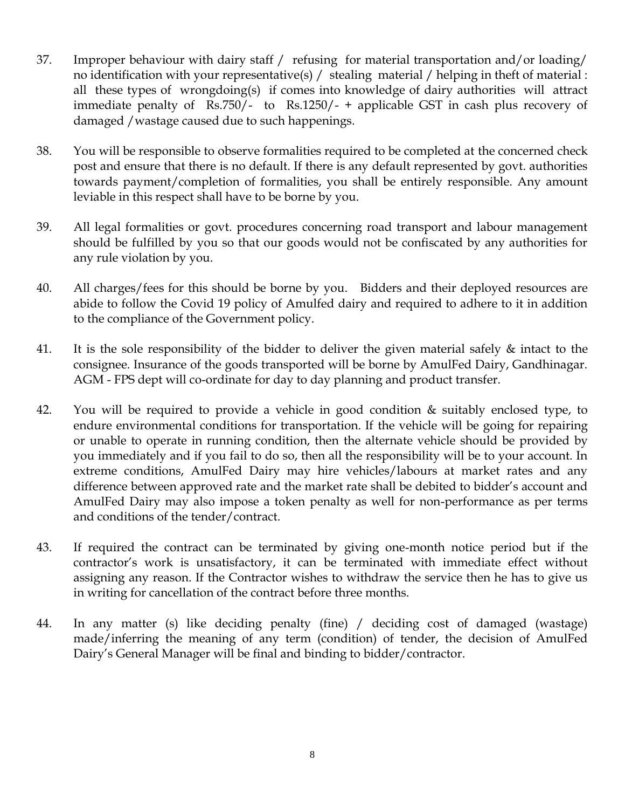- 37. Improper behaviour with dairy staff / refusing for material transportation and/or loading/ no identification with your representative(s) / stealing material / helping in theft of material : all these types of wrongdoing(s) if comes into knowledge of dairy authorities will attract immediate penalty of Rs.750/- to Rs.1250/- + applicable GST in cash plus recovery of damaged /wastage caused due to such happenings.
- 38. You will be responsible to observe formalities required to be completed at the concerned check post and ensure that there is no default. If there is any default represented by govt. authorities towards payment/completion of formalities, you shall be entirely responsible. Any amount leviable in this respect shall have to be borne by you.
- 39. All legal formalities or govt. procedures concerning road transport and labour management should be fulfilled by you so that our goods would not be confiscated by any authorities for any rule violation by you.
- 40. All charges/fees for this should be borne by you. Bidders and their deployed resources are abide to follow the Covid 19 policy of Amulfed dairy and required to adhere to it in addition to the compliance of the Government policy.
- 41. It is the sole responsibility of the bidder to deliver the given material safely & intact to the consignee. Insurance of the goods transported will be borne by AmulFed Dairy, Gandhinagar. AGM - FPS dept will co-ordinate for day to day planning and product transfer.
- 42. You will be required to provide a vehicle in good condition & suitably enclosed type, to endure environmental conditions for transportation. If the vehicle will be going for repairing or unable to operate in running condition, then the alternate vehicle should be provided by you immediately and if you fail to do so, then all the responsibility will be to your account. In extreme conditions, AmulFed Dairy may hire vehicles/labours at market rates and any difference between approved rate and the market rate shall be debited to bidder's account and AmulFed Dairy may also impose a token penalty as well for non-performance as per terms and conditions of the tender/contract.
- 43. If required the contract can be terminated by giving one-month notice period but if the contractor's work is unsatisfactory, it can be terminated with immediate effect without assigning any reason. If the Contractor wishes to withdraw the service then he has to give us in writing for cancellation of the contract before three months.
- 44. In any matter (s) like deciding penalty (fine) / deciding cost of damaged (wastage) made/inferring the meaning of any term (condition) of tender, the decision of AmulFed Dairy's General Manager will be final and binding to bidder/contractor.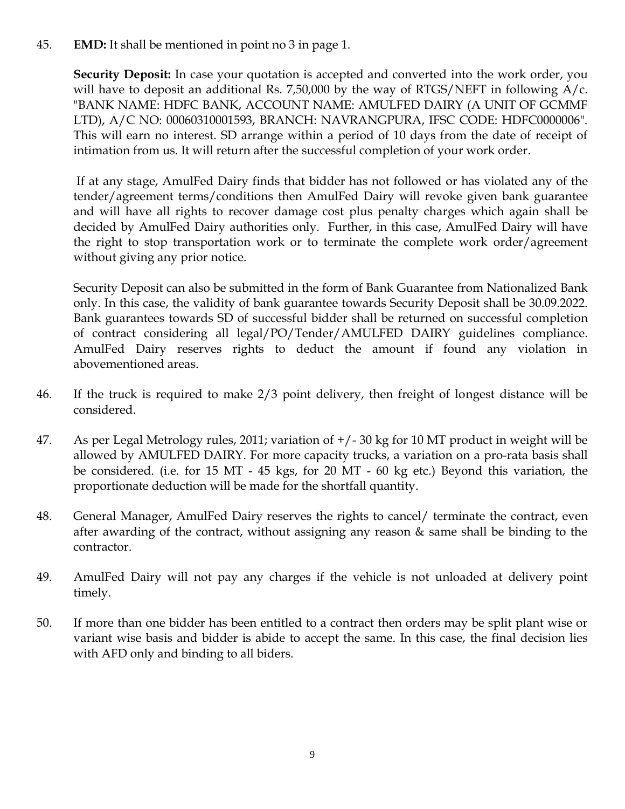#### 45. **EMD:** It shall be mentioned in point no 3 in page 1.

**Security Deposit:** In case your quotation is accepted and converted into the work order, you will have to deposit an additional Rs. 7,50,000 by the way of RTGS/NEFT in following  $A/c$ . "BANK NAME: HDFC BANK, ACCOUNT NAME: AMULFED DAIRY (A UNIT OF GCMMF LTD), A/C NO: 00060310001593, BRANCH: NAVRANGPURA, IFSC CODE: HDFC0000006". This will earn no interest. SD arrange within a period of 10 days from the date of receipt of intimation from us. It will return after the successful completion of your work order.

If at any stage, AmulFed Dairy finds that bidder has not followed or has violated any of the tender/agreement terms/conditions then AmulFed Dairy will revoke given bank guarantee and will have all rights to recover damage cost plus penalty charges which again shall be decided by AmulFed Dairy authorities only. Further, in this case, AmulFed Dairy will have the right to stop transportation work or to terminate the complete work order/agreement without giving any prior notice.

Security Deposit can also be submitted in the form of Bank Guarantee from Nationalized Bank only. In this case, the validity of bank guarantee towards Security Deposit shall be 30.09.2022. Bank guarantees towards SD of successful bidder shall be returned on successful completion of contract considering all legal/PO/Tender/AMULFED DAIRY guidelines compliance. AmulFed Dairy reserves rights to deduct the amount if found any violation in abovementioned areas.

- 46. If the truck is required to make 2/3 point delivery, then freight of longest distance will be considered.
- 47. As per Legal Metrology rules, 2011; variation of +/- 30 kg for 10 MT product in weight will be allowed by AMULFED DAIRY. For more capacity trucks, a variation on a pro-rata basis shall be considered. (i.e. for 15 MT - 45 kgs, for 20 MT - 60 kg etc.) Beyond this variation, the proportionate deduction will be made for the shortfall quantity.
- 48. General Manager, AmulFed Dairy reserves the rights to cancel/ terminate the contract, even after awarding of the contract, without assigning any reason  $\&$  same shall be binding to the contractor.
- 49. AmulFed Dairy will not pay any charges if the vehicle is not unloaded at delivery point timely.
- 50. If more than one bidder has been entitled to a contract then orders may be split plant wise or variant wise basis and bidder is abide to accept the same. In this case, the final decision lies with AFD only and binding to all biders.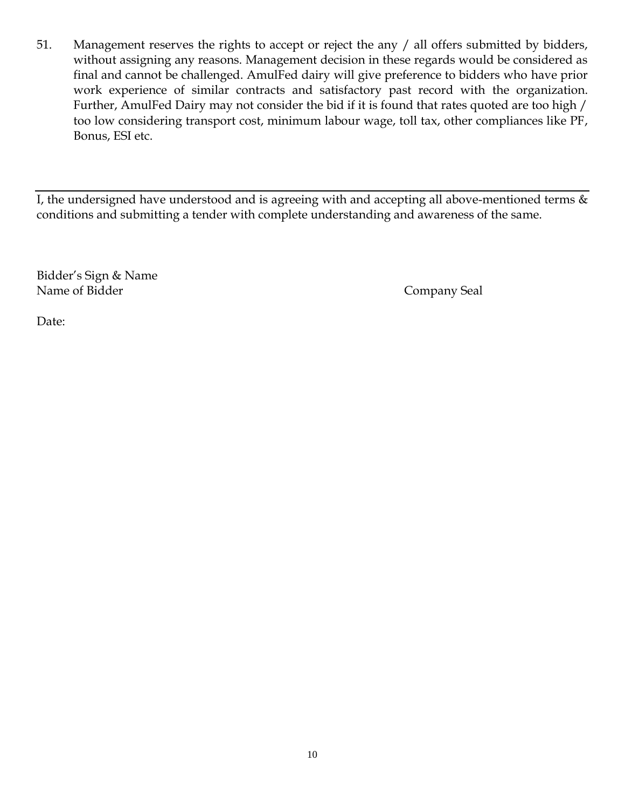51. Management reserves the rights to accept or reject the any / all offers submitted by bidders, without assigning any reasons. Management decision in these regards would be considered as final and cannot be challenged. AmulFed dairy will give preference to bidders who have prior work experience of similar contracts and satisfactory past record with the organization. Further, AmulFed Dairy may not consider the bid if it is found that rates quoted are too high / too low considering transport cost, minimum labour wage, toll tax, other compliances like PF, Bonus, ESI etc.

I, the undersigned have understood and is agreeing with and accepting all above-mentioned terms  $\&$ conditions and submitting a tender with complete understanding and awareness of the same.

Bidder's Sign & Name Name of Bidder Company Seal

Date: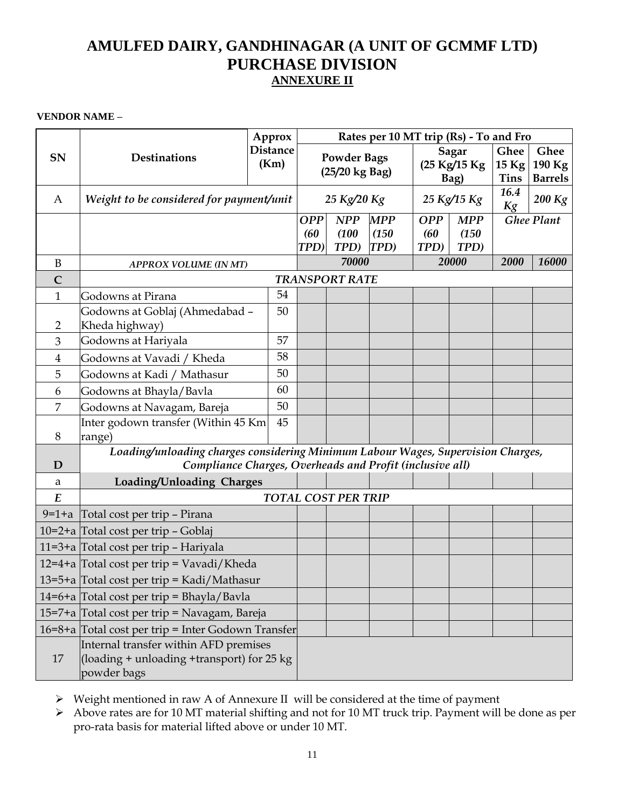# **AMULFED DAIRY, GANDHINAGAR (A UNIT OF GCMMF LTD) PURCHASE DIVISION ANNEXURE II**

**VENDOR NAME –**

|                  | <b>Destinations</b>                                                                   | Approx<br><b>Distance</b> | Rates per 10 MT trip (Rs) - To and Fro |                |               |                       |               |                        |                          |
|------------------|---------------------------------------------------------------------------------------|---------------------------|----------------------------------------|----------------|---------------|-----------------------|---------------|------------------------|--------------------------|
| SN               |                                                                                       |                           | <b>Powder Bags</b>                     |                |               | <b>Sagar</b>          |               | Ghee                   | Ghee                     |
|                  |                                                                                       | (Km)                      |                                        | (25/20 kg Bag) |               | (25 Kg/15 Kg)<br>Bag) |               | $15$ Kg<br><b>Tins</b> | 190 Kg<br><b>Barrels</b> |
|                  |                                                                                       |                           |                                        |                |               |                       |               | 16.4                   |                          |
| A                | Weight to be considered for payment/unit                                              |                           |                                        | 25 Kg/20 Kg    |               | 25 Kg/15 Kg           |               | Kg                     | 200 Kg                   |
|                  |                                                                                       |                           | <b>OPP</b>                             | <b>NPP</b>     | <b>MPP</b>    | <b>OPP</b>            | <b>MPP</b>    |                        | <b>Ghee Plant</b>        |
|                  |                                                                                       |                           | (60)<br>TPD)                           | (100)<br>TPD)  | (150)<br>TPD) | (60)<br>TPD)          | (150)<br>TPD) |                        |                          |
| B                |                                                                                       |                           |                                        | 70000          |               |                       | 20000         | 2000                   | 16000                    |
| $\overline{C}$   | <b>APPROX VOLUME (IN MT)</b><br><b>TRANSPORT RATE</b>                                 |                           |                                        |                |               |                       |               |                        |                          |
| 1                | Godowns at Pirana                                                                     | 54                        |                                        |                |               |                       |               |                        |                          |
|                  | Godowns at Goblaj (Ahmedabad -                                                        | 50                        |                                        |                |               |                       |               |                        |                          |
| $\overline{2}$   | Kheda highway)                                                                        |                           |                                        |                |               |                       |               |                        |                          |
| 3                | Godowns at Hariyala                                                                   | 57                        |                                        |                |               |                       |               |                        |                          |
| 4                | Godowns at Vavadi / Kheda                                                             | 58                        |                                        |                |               |                       |               |                        |                          |
| 5                | Godowns at Kadi / Mathasur                                                            | 50                        |                                        |                |               |                       |               |                        |                          |
| 6                | Godowns at Bhayla/Bavla                                                               | 60                        |                                        |                |               |                       |               |                        |                          |
| 7                | Godowns at Navagam, Bareja                                                            | 50                        |                                        |                |               |                       |               |                        |                          |
|                  | Inter godown transfer (Within 45 Km                                                   | 45                        |                                        |                |               |                       |               |                        |                          |
| 8                | range)                                                                                |                           |                                        |                |               |                       |               |                        |                          |
| D                | Loading/unloading charges considering Minimum Labour Wages, Supervision Charges,      |                           |                                        |                |               |                       |               |                        |                          |
| a                | Compliance Charges, Overheads and Profit (inclusive all)<br>Loading/Unloading Charges |                           |                                        |                |               |                       |               |                        |                          |
| $\boldsymbol{E}$ | <b>TOTAL COST PER TRIP</b>                                                            |                           |                                        |                |               |                       |               |                        |                          |
| $9=1+a$          | Total cost per trip - Pirana                                                          |                           |                                        |                |               |                       |               |                        |                          |
|                  | 10=2+a Total cost per trip - Goblaj                                                   |                           |                                        |                |               |                       |               |                        |                          |
|                  | 11=3+a Total cost per trip - Hariyala                                                 |                           |                                        |                |               |                       |               |                        |                          |
|                  | 12=4+a Total cost per trip = Vavadi/Kheda                                             |                           |                                        |                |               |                       |               |                        |                          |
|                  | 13=5+a Total cost per trip = Kadi/Mathasur                                            |                           |                                        |                |               |                       |               |                        |                          |
|                  | $14=6+a$ Total cost per trip = Bhayla/Bavla                                           |                           |                                        |                |               |                       |               |                        |                          |
|                  | 15=7+a Total cost per trip = Navagam, Bareja                                          |                           |                                        |                |               |                       |               |                        |                          |
|                  | 16=8+a Total cost per trip = Inter Godown Transfer                                    |                           |                                        |                |               |                       |               |                        |                          |
|                  | Internal transfer within AFD premises                                                 |                           |                                        |                |               |                       |               |                        |                          |
| 17               | (loading $+$ unloading $+$ transport) for 25 kg                                       |                           |                                        |                |               |                       |               |                        |                          |
|                  | powder bags                                                                           |                           |                                        |                |               |                       |               |                        |                          |

Weight mentioned in raw A of Annexure II will be considered at the time of payment

Above rates are for 10 MT material shifting and not for 10 MT truck trip. Payment will be done as per pro-rata basis for material lifted above or under 10 MT.